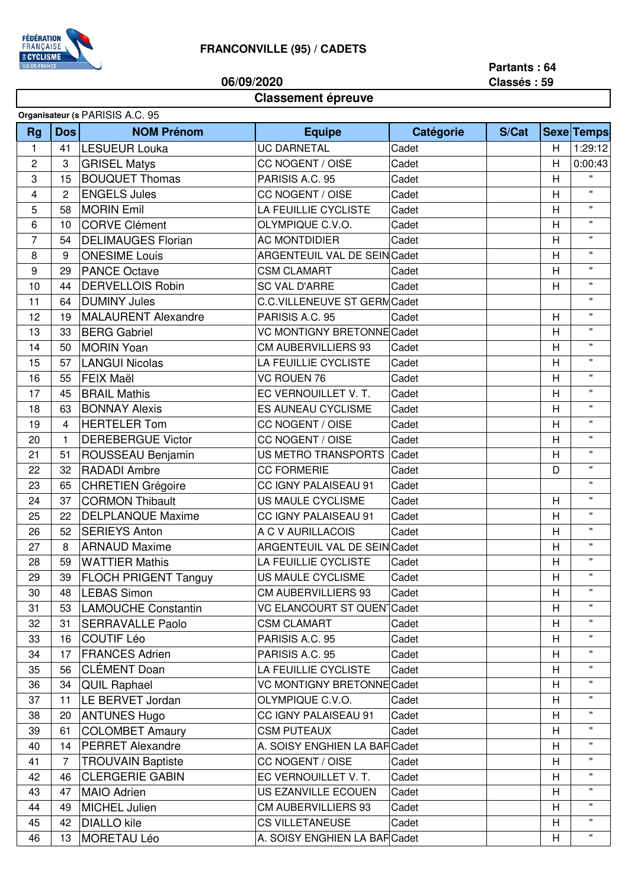

**06/09/2020**

## **Partants : 64 Classés : 59**

## **Classement épreuve**

| <b>Dos</b><br><b>NOM Prénom</b><br>Catégorie<br>S/Cat<br><b>Rg</b><br><b>Equipe</b><br><b>Sexe Temps</b><br>1:29:12<br>$\mathbf{1}$<br><b>LESUEUR Louka</b><br><b>UC DARNETAL</b><br>Cadet<br>41<br>H<br>$\overline{2}$<br><b>GRISEL Matys</b><br>0:00:43<br>3<br>CC NOGENT / OISE<br>H<br>Cadet<br>$\mathbf{H}$<br>3<br>15<br><b>BOUQUET Thomas</b><br>PARISIS A.C. 95<br>H<br>Cadet<br>$\mathbf{H}$<br><b>ENGELS Jules</b><br>H<br>4<br>$\overline{c}$<br>CC NOGENT / OISE<br>Cadet<br>$\mathbf{H}$<br>58<br><b>MORIN Emil</b><br>LA FEUILLIE CYCLISTE<br>H<br>5<br>Cadet<br>$\mathbf{H}$<br>6<br><b>CORVE Clément</b><br>OLYMPIQUE C.V.O.<br>H<br>10<br>Cadet<br><b>DELIMAUGES Florian</b><br>$\mathbf{H}$<br>$\overline{7}$<br>54<br><b>AC MONTDIDIER</b><br>Cadet<br>Н<br>ARGENTEUIL VAL DE SEIN Cadet<br>H<br>$\mathbf{H}$<br>8<br>9<br><b>ONESIME Louis</b><br>$\mathbf{H}$<br>9<br>29<br><b>PANCE Octave</b><br>H<br><b>CSM CLAMART</b><br>Cadet<br><b>DERVELLOIS Robin</b><br><b>SC VAL D'ARRE</b><br>$\pmb{\mathsf{H}}$<br>44<br>H<br>10<br>Cadet<br><b>DUMINY Jules</b><br>$\mathbf{H}$<br>11<br>64<br>C.C.VILLENEUVE ST GERM Cadet<br>$\mathbf{H}$<br><b>MALAURENT Alexandre</b><br>12<br>PARISIS A.C. 95<br>H<br>19<br>Cadet<br>$\pmb{\mathsf{H}}$<br>33<br><b>VC MONTIGNY BRETONNE Cadet</b><br>13<br><b>BERG Gabriel</b><br>H<br>$\mathbf{H}$<br><b>MORIN Yoan</b><br><b>CM AUBERVILLIERS 93</b><br>H<br>14<br>50<br>Cadet<br>15<br>57<br><b>LANGUI Nicolas</b><br>LA FEUILLIE CYCLISTE<br>H<br>$\pmb{\mathsf{H}}$<br>Cadet<br>$\mathbf{H}$<br><b>FEIX Maël</b><br><b>VC ROUEN 76</b><br>16<br>55<br>H<br>Cadet<br>$\mathbf{H}$<br>17<br>45<br><b>BRAIL Mathis</b><br>EC VERNOUILLET V. T.<br>H<br>Cadet<br>$\mathbf{H}$<br><b>BONNAY Alexis</b><br>H<br>18<br>63<br><b>ES AUNEAU CYCLISME</b><br>Cadet<br>$\mathbf{H}$<br><b>HERTELER Tom</b><br>19<br>CC NOGENT / OISE<br>Cadet<br>Н<br>4<br>H<br>$\mathbf{H}$<br>20<br><b>DEREBERGUE Victor</b><br>CC NOGENT / OISE<br>$\mathbf{1}$<br>Cadet<br>$\mathbf{H}$<br>21<br>51<br>ROUSSEAU Benjamin<br>US METRO TRANSPORTS<br>H<br>Cadet<br><b>RADADI Ambre</b><br>$\mathbf{H}$<br>22<br>32<br><b>CC FORMERIE</b><br>Cadet<br>D<br>$\mathbf{H}$<br>23<br><b>CHRETIEN Grégoire</b><br>CC IGNY PALAISEAU 91<br>65<br>Cadet<br><b>CORMON Thibault</b><br>$\mathbf{H}$<br>24<br>37<br>US MAULE CYCLISME<br>H<br>Cadet<br>$\mathbf{H}$<br>25<br>22<br><b>DELPLANQUE Maxime</b><br>CC IGNY PALAISEAU 91<br>H<br>Cadet<br>$\mathbf{H}$<br>26<br>52<br><b>SERIEYS Anton</b><br>A C V AURILLACOIS<br>Cadet<br>Н<br>H<br>$\mathbf{H}$<br>27<br>8<br><b>ARNAUD Maxime</b><br>ARGENTEUIL VAL DE SEIN Cadet<br>$\mathbf{H}$<br>28<br>59<br><b>WATTIER Mathis</b><br>LA FEUILLIE CYCLISTE<br>H<br>Cadet<br>$\mathbf{H}$<br>29<br>39   FLOCH PRIGENT Tanguy<br>H<br>US MAULE CYCLISME<br>Cadet<br><b>LEBAS Simon</b><br><b>CM AUBERVILLIERS 93</b><br>H<br>30<br>48<br>Cadet<br>$\mathbf{H}$<br><b>LAMOUCHE Constantin</b><br>VC ELANCOURT ST QUEN <sup>-</sup> Cadet<br>31<br>53<br>H<br>$\mathbf{H}$<br><b>SERRAVALLE Paolo</b><br><b>CSM CLAMART</b><br>32<br>31<br>Cadet<br>н<br>$\mathbf{H}$ |
|------------------------------------------------------------------------------------------------------------------------------------------------------------------------------------------------------------------------------------------------------------------------------------------------------------------------------------------------------------------------------------------------------------------------------------------------------------------------------------------------------------------------------------------------------------------------------------------------------------------------------------------------------------------------------------------------------------------------------------------------------------------------------------------------------------------------------------------------------------------------------------------------------------------------------------------------------------------------------------------------------------------------------------------------------------------------------------------------------------------------------------------------------------------------------------------------------------------------------------------------------------------------------------------------------------------------------------------------------------------------------------------------------------------------------------------------------------------------------------------------------------------------------------------------------------------------------------------------------------------------------------------------------------------------------------------------------------------------------------------------------------------------------------------------------------------------------------------------------------------------------------------------------------------------------------------------------------------------------------------------------------------------------------------------------------------------------------------------------------------------------------------------------------------------------------------------------------------------------------------------------------------------------------------------------------------------------------------------------------------------------------------------------------------------------------------------------------------------------------------------------------------------------------------------------------------------------------------------------------------------------------------------------------------------------------------------------------------------------------------------------------------------------------------------------------------------------------------------------------------------------------------------------------------------------------------------------------------------------------------------------------------------------------------------------------------------------------------------------------------------------------------------|
|                                                                                                                                                                                                                                                                                                                                                                                                                                                                                                                                                                                                                                                                                                                                                                                                                                                                                                                                                                                                                                                                                                                                                                                                                                                                                                                                                                                                                                                                                                                                                                                                                                                                                                                                                                                                                                                                                                                                                                                                                                                                                                                                                                                                                                                                                                                                                                                                                                                                                                                                                                                                                                                                                                                                                                                                                                                                                                                                                                                                                                                                                                                                                |
|                                                                                                                                                                                                                                                                                                                                                                                                                                                                                                                                                                                                                                                                                                                                                                                                                                                                                                                                                                                                                                                                                                                                                                                                                                                                                                                                                                                                                                                                                                                                                                                                                                                                                                                                                                                                                                                                                                                                                                                                                                                                                                                                                                                                                                                                                                                                                                                                                                                                                                                                                                                                                                                                                                                                                                                                                                                                                                                                                                                                                                                                                                                                                |
|                                                                                                                                                                                                                                                                                                                                                                                                                                                                                                                                                                                                                                                                                                                                                                                                                                                                                                                                                                                                                                                                                                                                                                                                                                                                                                                                                                                                                                                                                                                                                                                                                                                                                                                                                                                                                                                                                                                                                                                                                                                                                                                                                                                                                                                                                                                                                                                                                                                                                                                                                                                                                                                                                                                                                                                                                                                                                                                                                                                                                                                                                                                                                |
|                                                                                                                                                                                                                                                                                                                                                                                                                                                                                                                                                                                                                                                                                                                                                                                                                                                                                                                                                                                                                                                                                                                                                                                                                                                                                                                                                                                                                                                                                                                                                                                                                                                                                                                                                                                                                                                                                                                                                                                                                                                                                                                                                                                                                                                                                                                                                                                                                                                                                                                                                                                                                                                                                                                                                                                                                                                                                                                                                                                                                                                                                                                                                |
|                                                                                                                                                                                                                                                                                                                                                                                                                                                                                                                                                                                                                                                                                                                                                                                                                                                                                                                                                                                                                                                                                                                                                                                                                                                                                                                                                                                                                                                                                                                                                                                                                                                                                                                                                                                                                                                                                                                                                                                                                                                                                                                                                                                                                                                                                                                                                                                                                                                                                                                                                                                                                                                                                                                                                                                                                                                                                                                                                                                                                                                                                                                                                |
|                                                                                                                                                                                                                                                                                                                                                                                                                                                                                                                                                                                                                                                                                                                                                                                                                                                                                                                                                                                                                                                                                                                                                                                                                                                                                                                                                                                                                                                                                                                                                                                                                                                                                                                                                                                                                                                                                                                                                                                                                                                                                                                                                                                                                                                                                                                                                                                                                                                                                                                                                                                                                                                                                                                                                                                                                                                                                                                                                                                                                                                                                                                                                |
|                                                                                                                                                                                                                                                                                                                                                                                                                                                                                                                                                                                                                                                                                                                                                                                                                                                                                                                                                                                                                                                                                                                                                                                                                                                                                                                                                                                                                                                                                                                                                                                                                                                                                                                                                                                                                                                                                                                                                                                                                                                                                                                                                                                                                                                                                                                                                                                                                                                                                                                                                                                                                                                                                                                                                                                                                                                                                                                                                                                                                                                                                                                                                |
|                                                                                                                                                                                                                                                                                                                                                                                                                                                                                                                                                                                                                                                                                                                                                                                                                                                                                                                                                                                                                                                                                                                                                                                                                                                                                                                                                                                                                                                                                                                                                                                                                                                                                                                                                                                                                                                                                                                                                                                                                                                                                                                                                                                                                                                                                                                                                                                                                                                                                                                                                                                                                                                                                                                                                                                                                                                                                                                                                                                                                                                                                                                                                |
|                                                                                                                                                                                                                                                                                                                                                                                                                                                                                                                                                                                                                                                                                                                                                                                                                                                                                                                                                                                                                                                                                                                                                                                                                                                                                                                                                                                                                                                                                                                                                                                                                                                                                                                                                                                                                                                                                                                                                                                                                                                                                                                                                                                                                                                                                                                                                                                                                                                                                                                                                                                                                                                                                                                                                                                                                                                                                                                                                                                                                                                                                                                                                |
|                                                                                                                                                                                                                                                                                                                                                                                                                                                                                                                                                                                                                                                                                                                                                                                                                                                                                                                                                                                                                                                                                                                                                                                                                                                                                                                                                                                                                                                                                                                                                                                                                                                                                                                                                                                                                                                                                                                                                                                                                                                                                                                                                                                                                                                                                                                                                                                                                                                                                                                                                                                                                                                                                                                                                                                                                                                                                                                                                                                                                                                                                                                                                |
|                                                                                                                                                                                                                                                                                                                                                                                                                                                                                                                                                                                                                                                                                                                                                                                                                                                                                                                                                                                                                                                                                                                                                                                                                                                                                                                                                                                                                                                                                                                                                                                                                                                                                                                                                                                                                                                                                                                                                                                                                                                                                                                                                                                                                                                                                                                                                                                                                                                                                                                                                                                                                                                                                                                                                                                                                                                                                                                                                                                                                                                                                                                                                |
|                                                                                                                                                                                                                                                                                                                                                                                                                                                                                                                                                                                                                                                                                                                                                                                                                                                                                                                                                                                                                                                                                                                                                                                                                                                                                                                                                                                                                                                                                                                                                                                                                                                                                                                                                                                                                                                                                                                                                                                                                                                                                                                                                                                                                                                                                                                                                                                                                                                                                                                                                                                                                                                                                                                                                                                                                                                                                                                                                                                                                                                                                                                                                |
|                                                                                                                                                                                                                                                                                                                                                                                                                                                                                                                                                                                                                                                                                                                                                                                                                                                                                                                                                                                                                                                                                                                                                                                                                                                                                                                                                                                                                                                                                                                                                                                                                                                                                                                                                                                                                                                                                                                                                                                                                                                                                                                                                                                                                                                                                                                                                                                                                                                                                                                                                                                                                                                                                                                                                                                                                                                                                                                                                                                                                                                                                                                                                |
|                                                                                                                                                                                                                                                                                                                                                                                                                                                                                                                                                                                                                                                                                                                                                                                                                                                                                                                                                                                                                                                                                                                                                                                                                                                                                                                                                                                                                                                                                                                                                                                                                                                                                                                                                                                                                                                                                                                                                                                                                                                                                                                                                                                                                                                                                                                                                                                                                                                                                                                                                                                                                                                                                                                                                                                                                                                                                                                                                                                                                                                                                                                                                |
|                                                                                                                                                                                                                                                                                                                                                                                                                                                                                                                                                                                                                                                                                                                                                                                                                                                                                                                                                                                                                                                                                                                                                                                                                                                                                                                                                                                                                                                                                                                                                                                                                                                                                                                                                                                                                                                                                                                                                                                                                                                                                                                                                                                                                                                                                                                                                                                                                                                                                                                                                                                                                                                                                                                                                                                                                                                                                                                                                                                                                                                                                                                                                |
|                                                                                                                                                                                                                                                                                                                                                                                                                                                                                                                                                                                                                                                                                                                                                                                                                                                                                                                                                                                                                                                                                                                                                                                                                                                                                                                                                                                                                                                                                                                                                                                                                                                                                                                                                                                                                                                                                                                                                                                                                                                                                                                                                                                                                                                                                                                                                                                                                                                                                                                                                                                                                                                                                                                                                                                                                                                                                                                                                                                                                                                                                                                                                |
|                                                                                                                                                                                                                                                                                                                                                                                                                                                                                                                                                                                                                                                                                                                                                                                                                                                                                                                                                                                                                                                                                                                                                                                                                                                                                                                                                                                                                                                                                                                                                                                                                                                                                                                                                                                                                                                                                                                                                                                                                                                                                                                                                                                                                                                                                                                                                                                                                                                                                                                                                                                                                                                                                                                                                                                                                                                                                                                                                                                                                                                                                                                                                |
|                                                                                                                                                                                                                                                                                                                                                                                                                                                                                                                                                                                                                                                                                                                                                                                                                                                                                                                                                                                                                                                                                                                                                                                                                                                                                                                                                                                                                                                                                                                                                                                                                                                                                                                                                                                                                                                                                                                                                                                                                                                                                                                                                                                                                                                                                                                                                                                                                                                                                                                                                                                                                                                                                                                                                                                                                                                                                                                                                                                                                                                                                                                                                |
|                                                                                                                                                                                                                                                                                                                                                                                                                                                                                                                                                                                                                                                                                                                                                                                                                                                                                                                                                                                                                                                                                                                                                                                                                                                                                                                                                                                                                                                                                                                                                                                                                                                                                                                                                                                                                                                                                                                                                                                                                                                                                                                                                                                                                                                                                                                                                                                                                                                                                                                                                                                                                                                                                                                                                                                                                                                                                                                                                                                                                                                                                                                                                |
|                                                                                                                                                                                                                                                                                                                                                                                                                                                                                                                                                                                                                                                                                                                                                                                                                                                                                                                                                                                                                                                                                                                                                                                                                                                                                                                                                                                                                                                                                                                                                                                                                                                                                                                                                                                                                                                                                                                                                                                                                                                                                                                                                                                                                                                                                                                                                                                                                                                                                                                                                                                                                                                                                                                                                                                                                                                                                                                                                                                                                                                                                                                                                |
|                                                                                                                                                                                                                                                                                                                                                                                                                                                                                                                                                                                                                                                                                                                                                                                                                                                                                                                                                                                                                                                                                                                                                                                                                                                                                                                                                                                                                                                                                                                                                                                                                                                                                                                                                                                                                                                                                                                                                                                                                                                                                                                                                                                                                                                                                                                                                                                                                                                                                                                                                                                                                                                                                                                                                                                                                                                                                                                                                                                                                                                                                                                                                |
|                                                                                                                                                                                                                                                                                                                                                                                                                                                                                                                                                                                                                                                                                                                                                                                                                                                                                                                                                                                                                                                                                                                                                                                                                                                                                                                                                                                                                                                                                                                                                                                                                                                                                                                                                                                                                                                                                                                                                                                                                                                                                                                                                                                                                                                                                                                                                                                                                                                                                                                                                                                                                                                                                                                                                                                                                                                                                                                                                                                                                                                                                                                                                |
|                                                                                                                                                                                                                                                                                                                                                                                                                                                                                                                                                                                                                                                                                                                                                                                                                                                                                                                                                                                                                                                                                                                                                                                                                                                                                                                                                                                                                                                                                                                                                                                                                                                                                                                                                                                                                                                                                                                                                                                                                                                                                                                                                                                                                                                                                                                                                                                                                                                                                                                                                                                                                                                                                                                                                                                                                                                                                                                                                                                                                                                                                                                                                |
|                                                                                                                                                                                                                                                                                                                                                                                                                                                                                                                                                                                                                                                                                                                                                                                                                                                                                                                                                                                                                                                                                                                                                                                                                                                                                                                                                                                                                                                                                                                                                                                                                                                                                                                                                                                                                                                                                                                                                                                                                                                                                                                                                                                                                                                                                                                                                                                                                                                                                                                                                                                                                                                                                                                                                                                                                                                                                                                                                                                                                                                                                                                                                |
|                                                                                                                                                                                                                                                                                                                                                                                                                                                                                                                                                                                                                                                                                                                                                                                                                                                                                                                                                                                                                                                                                                                                                                                                                                                                                                                                                                                                                                                                                                                                                                                                                                                                                                                                                                                                                                                                                                                                                                                                                                                                                                                                                                                                                                                                                                                                                                                                                                                                                                                                                                                                                                                                                                                                                                                                                                                                                                                                                                                                                                                                                                                                                |
|                                                                                                                                                                                                                                                                                                                                                                                                                                                                                                                                                                                                                                                                                                                                                                                                                                                                                                                                                                                                                                                                                                                                                                                                                                                                                                                                                                                                                                                                                                                                                                                                                                                                                                                                                                                                                                                                                                                                                                                                                                                                                                                                                                                                                                                                                                                                                                                                                                                                                                                                                                                                                                                                                                                                                                                                                                                                                                                                                                                                                                                                                                                                                |
|                                                                                                                                                                                                                                                                                                                                                                                                                                                                                                                                                                                                                                                                                                                                                                                                                                                                                                                                                                                                                                                                                                                                                                                                                                                                                                                                                                                                                                                                                                                                                                                                                                                                                                                                                                                                                                                                                                                                                                                                                                                                                                                                                                                                                                                                                                                                                                                                                                                                                                                                                                                                                                                                                                                                                                                                                                                                                                                                                                                                                                                                                                                                                |
|                                                                                                                                                                                                                                                                                                                                                                                                                                                                                                                                                                                                                                                                                                                                                                                                                                                                                                                                                                                                                                                                                                                                                                                                                                                                                                                                                                                                                                                                                                                                                                                                                                                                                                                                                                                                                                                                                                                                                                                                                                                                                                                                                                                                                                                                                                                                                                                                                                                                                                                                                                                                                                                                                                                                                                                                                                                                                                                                                                                                                                                                                                                                                |
|                                                                                                                                                                                                                                                                                                                                                                                                                                                                                                                                                                                                                                                                                                                                                                                                                                                                                                                                                                                                                                                                                                                                                                                                                                                                                                                                                                                                                                                                                                                                                                                                                                                                                                                                                                                                                                                                                                                                                                                                                                                                                                                                                                                                                                                                                                                                                                                                                                                                                                                                                                                                                                                                                                                                                                                                                                                                                                                                                                                                                                                                                                                                                |
|                                                                                                                                                                                                                                                                                                                                                                                                                                                                                                                                                                                                                                                                                                                                                                                                                                                                                                                                                                                                                                                                                                                                                                                                                                                                                                                                                                                                                                                                                                                                                                                                                                                                                                                                                                                                                                                                                                                                                                                                                                                                                                                                                                                                                                                                                                                                                                                                                                                                                                                                                                                                                                                                                                                                                                                                                                                                                                                                                                                                                                                                                                                                                |
|                                                                                                                                                                                                                                                                                                                                                                                                                                                                                                                                                                                                                                                                                                                                                                                                                                                                                                                                                                                                                                                                                                                                                                                                                                                                                                                                                                                                                                                                                                                                                                                                                                                                                                                                                                                                                                                                                                                                                                                                                                                                                                                                                                                                                                                                                                                                                                                                                                                                                                                                                                                                                                                                                                                                                                                                                                                                                                                                                                                                                                                                                                                                                |
|                                                                                                                                                                                                                                                                                                                                                                                                                                                                                                                                                                                                                                                                                                                                                                                                                                                                                                                                                                                                                                                                                                                                                                                                                                                                                                                                                                                                                                                                                                                                                                                                                                                                                                                                                                                                                                                                                                                                                                                                                                                                                                                                                                                                                                                                                                                                                                                                                                                                                                                                                                                                                                                                                                                                                                                                                                                                                                                                                                                                                                                                                                                                                |
|                                                                                                                                                                                                                                                                                                                                                                                                                                                                                                                                                                                                                                                                                                                                                                                                                                                                                                                                                                                                                                                                                                                                                                                                                                                                                                                                                                                                                                                                                                                                                                                                                                                                                                                                                                                                                                                                                                                                                                                                                                                                                                                                                                                                                                                                                                                                                                                                                                                                                                                                                                                                                                                                                                                                                                                                                                                                                                                                                                                                                                                                                                                                                |
| <b>COUTIF Léo</b><br>33<br>PARISIS A.C. 95<br>н<br>16<br>Cadet                                                                                                                                                                                                                                                                                                                                                                                                                                                                                                                                                                                                                                                                                                                                                                                                                                                                                                                                                                                                                                                                                                                                                                                                                                                                                                                                                                                                                                                                                                                                                                                                                                                                                                                                                                                                                                                                                                                                                                                                                                                                                                                                                                                                                                                                                                                                                                                                                                                                                                                                                                                                                                                                                                                                                                                                                                                                                                                                                                                                                                                                                 |
| $\mathbf{H}$<br>H<br>34<br><b>FRANCES Adrien</b><br>PARISIS A.C. 95<br>Cadet<br>17                                                                                                                                                                                                                                                                                                                                                                                                                                                                                                                                                                                                                                                                                                                                                                                                                                                                                                                                                                                                                                                                                                                                                                                                                                                                                                                                                                                                                                                                                                                                                                                                                                                                                                                                                                                                                                                                                                                                                                                                                                                                                                                                                                                                                                                                                                                                                                                                                                                                                                                                                                                                                                                                                                                                                                                                                                                                                                                                                                                                                                                             |
| <b>CLÉMENT Doan</b><br>$\mathbf{H}$<br>LA FEUILLIE CYCLISTE<br>35<br>н<br>56<br>Cadet                                                                                                                                                                                                                                                                                                                                                                                                                                                                                                                                                                                                                                                                                                                                                                                                                                                                                                                                                                                                                                                                                                                                                                                                                                                                                                                                                                                                                                                                                                                                                                                                                                                                                                                                                                                                                                                                                                                                                                                                                                                                                                                                                                                                                                                                                                                                                                                                                                                                                                                                                                                                                                                                                                                                                                                                                                                                                                                                                                                                                                                          |
| $\mathbf{H}$<br><b>QUIL Raphael</b><br><b>VC MONTIGNY BRETONNE Cadet</b><br>H<br>36<br>34                                                                                                                                                                                                                                                                                                                                                                                                                                                                                                                                                                                                                                                                                                                                                                                                                                                                                                                                                                                                                                                                                                                                                                                                                                                                                                                                                                                                                                                                                                                                                                                                                                                                                                                                                                                                                                                                                                                                                                                                                                                                                                                                                                                                                                                                                                                                                                                                                                                                                                                                                                                                                                                                                                                                                                                                                                                                                                                                                                                                                                                      |
| $\mathbf{H}$<br>LE BERVET Jordan<br>OLYMPIQUE C.V.O.<br>37<br>11<br>Cadet<br>H                                                                                                                                                                                                                                                                                                                                                                                                                                                                                                                                                                                                                                                                                                                                                                                                                                                                                                                                                                                                                                                                                                                                                                                                                                                                                                                                                                                                                                                                                                                                                                                                                                                                                                                                                                                                                                                                                                                                                                                                                                                                                                                                                                                                                                                                                                                                                                                                                                                                                                                                                                                                                                                                                                                                                                                                                                                                                                                                                                                                                                                                 |
| $\mathbf{H}$<br>38<br><b>ANTUNES Hugo</b><br>CC IGNY PALAISEAU 91<br>Cadet<br>20<br>Н                                                                                                                                                                                                                                                                                                                                                                                                                                                                                                                                                                                                                                                                                                                                                                                                                                                                                                                                                                                                                                                                                                                                                                                                                                                                                                                                                                                                                                                                                                                                                                                                                                                                                                                                                                                                                                                                                                                                                                                                                                                                                                                                                                                                                                                                                                                                                                                                                                                                                                                                                                                                                                                                                                                                                                                                                                                                                                                                                                                                                                                          |
| H<br>$\mathbf{H}$<br>39<br><b>COLOMBET Amaury</b><br><b>CSM PUTEAUX</b><br>Cadet<br>61                                                                                                                                                                                                                                                                                                                                                                                                                                                                                                                                                                                                                                                                                                                                                                                                                                                                                                                                                                                                                                                                                                                                                                                                                                                                                                                                                                                                                                                                                                                                                                                                                                                                                                                                                                                                                                                                                                                                                                                                                                                                                                                                                                                                                                                                                                                                                                                                                                                                                                                                                                                                                                                                                                                                                                                                                                                                                                                                                                                                                                                         |
| <b>PERRET Alexandre</b><br>A. SOISY ENGHIEN LA BAF Cadet<br>40<br>14<br>H                                                                                                                                                                                                                                                                                                                                                                                                                                                                                                                                                                                                                                                                                                                                                                                                                                                                                                                                                                                                                                                                                                                                                                                                                                                                                                                                                                                                                                                                                                                                                                                                                                                                                                                                                                                                                                                                                                                                                                                                                                                                                                                                                                                                                                                                                                                                                                                                                                                                                                                                                                                                                                                                                                                                                                                                                                                                                                                                                                                                                                                                      |
| $\mathbf{H}$<br>41<br><b>TROUVAIN Baptiste</b><br>CC NOGENT / OISE<br>H<br>$\overline{7}$<br>Cadet                                                                                                                                                                                                                                                                                                                                                                                                                                                                                                                                                                                                                                                                                                                                                                                                                                                                                                                                                                                                                                                                                                                                                                                                                                                                                                                                                                                                                                                                                                                                                                                                                                                                                                                                                                                                                                                                                                                                                                                                                                                                                                                                                                                                                                                                                                                                                                                                                                                                                                                                                                                                                                                                                                                                                                                                                                                                                                                                                                                                                                             |
| $\mathbf{H}$<br>42<br><b>CLERGERIE GABIN</b><br>EC VERNOUILLET V. T.<br>H<br>46<br>Cadet                                                                                                                                                                                                                                                                                                                                                                                                                                                                                                                                                                                                                                                                                                                                                                                                                                                                                                                                                                                                                                                                                                                                                                                                                                                                                                                                                                                                                                                                                                                                                                                                                                                                                                                                                                                                                                                                                                                                                                                                                                                                                                                                                                                                                                                                                                                                                                                                                                                                                                                                                                                                                                                                                                                                                                                                                                                                                                                                                                                                                                                       |
| $\mathbf{H}$<br>US EZANVILLE ECOUEN<br>43<br>47<br><b>MAIO Adrien</b><br>н<br>Cadet                                                                                                                                                                                                                                                                                                                                                                                                                                                                                                                                                                                                                                                                                                                                                                                                                                                                                                                                                                                                                                                                                                                                                                                                                                                                                                                                                                                                                                                                                                                                                                                                                                                                                                                                                                                                                                                                                                                                                                                                                                                                                                                                                                                                                                                                                                                                                                                                                                                                                                                                                                                                                                                                                                                                                                                                                                                                                                                                                                                                                                                            |
| $\mathbf{H}$<br><b>MICHEL Julien</b><br>44<br>49<br><b>CM AUBERVILLIERS 93</b><br>Cadet<br>H                                                                                                                                                                                                                                                                                                                                                                                                                                                                                                                                                                                                                                                                                                                                                                                                                                                                                                                                                                                                                                                                                                                                                                                                                                                                                                                                                                                                                                                                                                                                                                                                                                                                                                                                                                                                                                                                                                                                                                                                                                                                                                                                                                                                                                                                                                                                                                                                                                                                                                                                                                                                                                                                                                                                                                                                                                                                                                                                                                                                                                                   |
| $\mathbf{H}$<br><b>DIALLO</b> kile<br><b>CS VILLETANEUSE</b><br>45<br>н<br>42<br>Cadet                                                                                                                                                                                                                                                                                                                                                                                                                                                                                                                                                                                                                                                                                                                                                                                                                                                                                                                                                                                                                                                                                                                                                                                                                                                                                                                                                                                                                                                                                                                                                                                                                                                                                                                                                                                                                                                                                                                                                                                                                                                                                                                                                                                                                                                                                                                                                                                                                                                                                                                                                                                                                                                                                                                                                                                                                                                                                                                                                                                                                                                         |
| $\mathbf{H}$<br>46<br>MORETAU Léo<br>A. SOISY ENGHIEN LA BAF Cadet<br>H<br>13                                                                                                                                                                                                                                                                                                                                                                                                                                                                                                                                                                                                                                                                                                                                                                                                                                                                                                                                                                                                                                                                                                                                                                                                                                                                                                                                                                                                                                                                                                                                                                                                                                                                                                                                                                                                                                                                                                                                                                                                                                                                                                                                                                                                                                                                                                                                                                                                                                                                                                                                                                                                                                                                                                                                                                                                                                                                                                                                                                                                                                                                  |